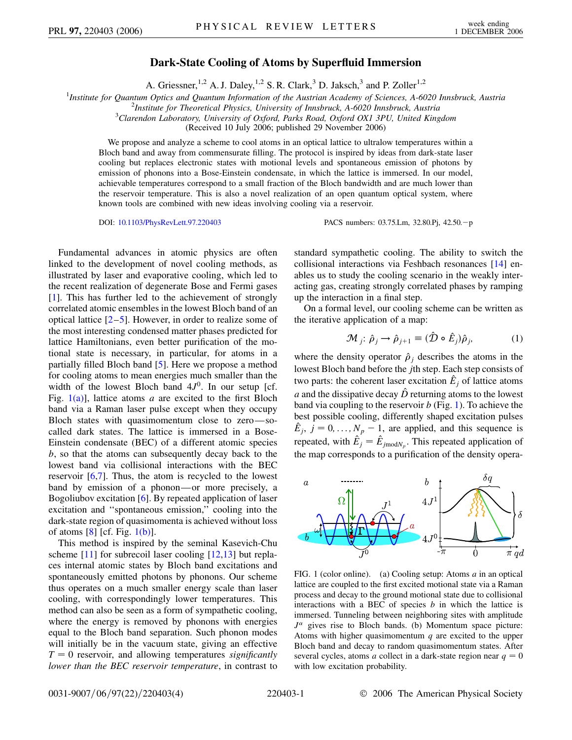## **Dark-State Cooling of Atoms by Superfluid Immersion**

A. Griessner,<sup>1,2</sup> A. J. Daley,<sup>1,2</sup> S. R. Clark,<sup>3</sup> D. Jaksch,<sup>3</sup> and P. Zoller<sup>1,2</sup>

<sup>1</sup> Institute for Quantum Optics and Quantum Information of the Austrian Academy of Sciences, A-6020 Innsbruck, Austria<sup>2</sup><br><sup>2</sup> Institute for Theoratical Physics University of Innsbruck, A-6020 Innsbruck, Austria

*Institute for Theoretical Physics, University of Innsbruck, A-6020 Innsbruck, Austria* <sup>3</sup>

*Clarendon Laboratory, University of Oxford, Parks Road, Oxford OX1 3PU, United Kingdom*

(Received 10 July 2006; published 29 November 2006)

We propose and analyze a scheme to cool atoms in an optical lattice to ultralow temperatures within a Bloch band and away from commensurate filling. The protocol is inspired by ideas from dark-state laser cooling but replaces electronic states with motional levels and spontaneous emission of photons by emission of phonons into a Bose-Einstein condensate, in which the lattice is immersed. In our model, achievable temperatures correspond to a small fraction of the Bloch bandwidth and are much lower than the reservoir temperature. This is also a novel realization of an open quantum optical system, where known tools are combined with new ideas involving cooling via a reservoir.

DOI: [10.1103/PhysRevLett.97.220403](http://dx.doi.org/10.1103/PhysRevLett.97.220403) PACS numbers: 03.75.Lm, 32.80.Pj, 42.50.p

Fundamental advances in atomic physics are often linked to the development of novel cooling methods, as illustrated by laser and evaporative cooling, which led to the recent realization of degenerate Bose and Fermi gases [\[1\]](#page-3-0). This has further led to the achievement of strongly correlated atomic ensembles in the lowest Bloch band of an optical lattice  $[2-5]$  $[2-5]$  $[2-5]$ . However, in order to realize some of the most interesting condensed matter phases predicted for lattice Hamiltonians, even better purification of the motional state is necessary, in particular, for atoms in a partially filled Bloch band [\[5\]](#page-3-2). Here we propose a method for cooling atoms to mean energies much smaller than the width of the lowest Bloch band  $4J<sup>0</sup>$ . In our setup [cf. Fig.  $1(a)$ ], lattice atoms *a* are excited to the first Bloch band via a Raman laser pulse except when they occupy Bloch states with quasimomentum close to zero—socalled dark states. The lattice is immersed in a Bose-Einstein condensate (BEC) of a different atomic species *b*, so that the atoms can subsequently decay back to the lowest band via collisional interactions with the BEC reservoir [[6,](#page-3-3)[7\]](#page-3-4). Thus, the atom is recycled to the lowest band by emission of a phonon—or more precisely, a Bogoliubov excitation [[6](#page-3-3)]. By repeated application of laser excitation and ''spontaneous emission,'' cooling into the dark-state region of quasimomenta is achieved without loss of atoms  $[8]$  $[8]$  [cf. Fig.  $1(b)$ ].

This method is inspired by the seminal Kasevich-Chu scheme  $[11]$  for subrecoil laser cooling  $[12,13]$  $[12,13]$  $[12,13]$  $[12,13]$  $[12,13]$  but replaces internal atomic states by Bloch band excitations and spontaneously emitted photons by phonons. Our scheme thus operates on a much smaller energy scale than laser cooling, with correspondingly lower temperatures. This method can also be seen as a form of sympathetic cooling, where the energy is removed by phonons with energies equal to the Bloch band separation. Such phonon modes will initially be in the vacuum state, giving an effective  $T = 0$  reservoir, and allowing temperatures *significantly lower than the BEC reservoir temperature*, in contrast to standard sympathetic cooling. The ability to switch the collisional interactions via Feshbach resonances [[14](#page-3-9)] enables us to study the cooling scenario in the weakly interacting gas, creating strongly correlated phases by ramping up the interaction in a final step.

On a formal level, our cooling scheme can be written as the iterative application of a map:

$$
\mathcal{M}_j: \hat{\rho}_j \to \hat{\rho}_{j+1} \equiv (\hat{\mathcal{D}} \circ \hat{E}_j) \hat{\rho}_j, \tag{1}
$$

where the density operator  $\hat{\rho}_i$  describes the atoms in the lowest Bloch band before the *j*th step. Each step consists of two parts: the coherent laser excitation  $\hat{E}_j$  of lattice atoms *a* and the dissipative decay  $\hat{D}$  returning atoms to the lowest band via coupling to the reservoir *b* (Fig. [1\)](#page-0-1). To achieve the best possible cooling, differently shaped excitation pulses  $\hat{E}_j$ ,  $j = 0, \ldots, N_p - 1$ , are applied, and this sequence is repeated, with  $\hat{E}_j = \hat{E}_{j{mod}N_p}$ . This repeated application of the map corresponds to a purification of the density opera-

<span id="page-0-1"></span>

<span id="page-0-0"></span>FIG. 1 (color online). (a) Cooling setup: Atoms *a* in an optical lattice are coupled to the first excited motional state via a Raman process and decay to the ground motional state due to collisional interactions with a BEC of species *b* in which the lattice is immersed. Tunneling between neighboring sites with amplitude  $J^{\alpha}$  gives rise to Bloch bands. (b) Momentum space picture: Atoms with higher quasimomentum *q* are excited to the upper Bloch band and decay to random quasimomentum states. After several cycles, atoms *a* collect in a dark-state region near  $q = 0$ with low excitation probability.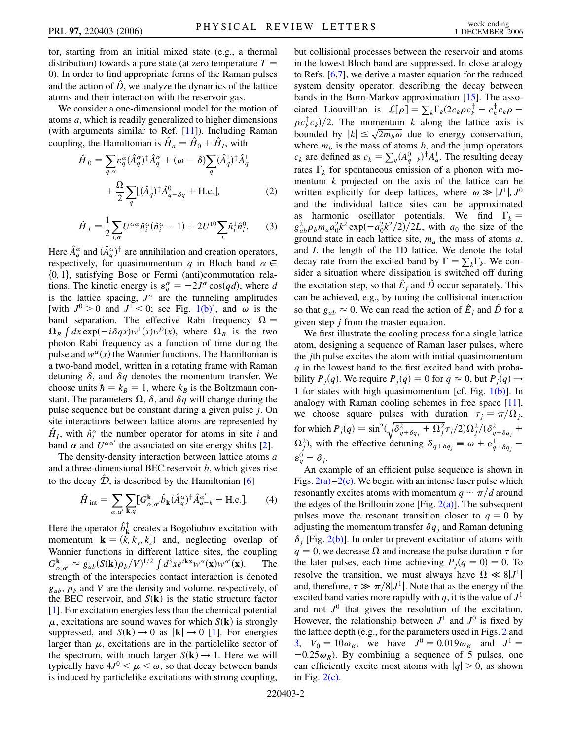tor, starting from an initial mixed state (e.g., a thermal distribution) towards a pure state (at zero temperature  $T =$ 0). In order to find appropriate forms of the Raman pulses and the action of  $\hat{D}$ , we analyze the dynamics of the lattice atoms and their interaction with the reservoir gas.

We consider a one-dimensional model for the motion of atoms *a*, which is readily generalized to higher dimensions (with arguments similar to Ref. [\[11\]](#page-3-6)). Including Raman coupling, the Hamiltonian is  $\hat{H}_a = \hat{H}_0 + \hat{H}_I$ , with

$$
\hat{H}_0 = \sum_{q,\alpha} \varepsilon_q^{\alpha} (\hat{A}_q^{\alpha})^{\dagger} \hat{A}_q^{\alpha} + (\omega - \delta) \sum_q (\hat{A}_q^1)^{\dagger} \hat{A}_q^1 + \frac{\Omega}{2} \sum_q [(\hat{A}_q^1)^{\dagger} \hat{A}_q^0 - \delta q + \text{H.c.}],
$$
\n(2)

$$
\hat{H}_I = \frac{1}{2} \sum_{i,\alpha} U^{\alpha\alpha} \hat{n}_i^{\alpha} (\hat{n}_i^{\alpha} - 1) + 2U^{10} \sum_i \hat{n}_i^1 \hat{n}_i^0.
$$
 (3)

Here  $\hat{A}^{\alpha}_{q}$  and  $(\hat{A}^{\alpha}_{q})^{\dagger}$  are annihilation and creation operators, respectively, for quasimomentum q in Bloch band  $\alpha \in$ f0*;* 1g, satisfying Bose or Fermi (anti)commutation relations. The kinetic energy is  $\varepsilon_q^{\alpha} = -2J^{\alpha} \cos(qd)$ , where *d* is the lattice spacing,  $J^{\alpha}$  are the tunneling amplitudes [with  $J^0 > 0$  and  $J^1 < 0$ ; see Fig. [1\(b\)](#page-0-0)], and  $\omega$  is the band separation. The effective Rabi frequency  $\Omega =$  $\Omega_R \int dx \exp(-i\delta qx)w^1(x)w^0(x)$ , where  $\Omega_R$  is the two photon Rabi frequency as a function of time during the pulse and  $w^{\alpha}(x)$  the Wannier functions. The Hamiltonian is a two-band model, written in a rotating frame with Raman detuning  $\delta$ , and  $\delta q$  denotes the momentum transfer. We choose units  $\hbar = k_B = 1$ , where  $k_B$  is the Boltzmann constant. The parameters  $\Omega$ ,  $\delta$ , and  $\delta q$  will change during the pulse sequence but be constant during a given pulse *j*. On site interactions between lattice atoms are represented by  $\hat{H}_I$ , with  $\hat{n}_i^{\alpha}$  the number operator for atoms in site *i* and band  $\alpha$  and  $U^{\alpha\alpha'}$  the associated on site energy shifts [\[2](#page-3-1)].

The density-density interaction between lattice atoms *a* and a three-dimensional BEC reservoir *b*, which gives rise to the decay  $\hat{\mathcal{D}}$ , is described by the Hamiltonian [\[6](#page-3-3)]

$$
\hat{H}_{\text{int}} = \sum_{\alpha,\alpha'} \sum_{\mathbf{k},q} [G^{\mathbf{k}}_{\alpha,\alpha'} \hat{b}_{\mathbf{k}} (\hat{A}^{\alpha}_{q})^{\dagger} \hat{A}^{\alpha'}_{q-k} + \text{H.c.}]. \tag{4}
$$

Here the operator  $\hat{b}_k^{\dagger}$  creates a Bogoliubov excitation with momentum  $\mathbf{k} = (k, k_y, k_z)$  and, neglecting overlap of Wannier functions in different lattice sites, the coupling  $G_{\alpha,\alpha'}^{\mathbf{k}} \approx g_{ab}(S(\mathbf{k})\rho_b/V)^{1/2} \int d^3x e^{i\mathbf{kx}} w^{\alpha}(\mathbf{x})w^{\alpha'}(\mathbf{x}).$  The strength of the interspecies contact interaction is denoted  $g_{ab}$ ,  $\rho_b$  and *V* are the density and volume, respectively, of the BEC reservoir, and  $S(\mathbf{k})$  is the static structure factor [\[1\]](#page-3-0). For excitation energies less than the chemical potential  $\mu$ , excitations are sound waves for which  $S(\mathbf{k})$  is strongly suppressed, and  $S(\mathbf{k}) \rightarrow 0$  as  $|\mathbf{k}| \rightarrow 0$  [[1\]](#page-3-0). For energies larger than  $\mu$ , excitations are in the particlelike sector of the spectrum, with much larger  $S(\mathbf{k}) \rightarrow 1$ . Here we will typically have  $4J^0 < \mu < \omega$ , so that decay between bands is induced by particlelike excitations with strong coupling,

but collisional processes between the reservoir and atoms in the lowest Bloch band are suppressed. In close analogy to Refs. [[6](#page-3-3),[7\]](#page-3-4), we derive a master equation for the reduced system density operator, describing the decay between bands in the Born-Markov approximation [[15](#page-3-10)]. The associated Liouvillian is  $\mathcal{L}[\rho] = \sum_k \Gamma_k (2c_k \rho c_k^{\dagger} - c_k^{\dagger} c_k \rho \rho c_k^{\dagger} c_k$ //2. The momentum *k* along the lattice axis is  $\int P C_k^2 C_k f/2$ . The momentum  $\kappa$  along the fattice axis is<br>bounded by  $|k| \le \sqrt{2m_b \omega}$  due to energy conservation, where  $m<sub>b</sub>$  is the mass of atoms  $b$ , and the jump operators *c<sub>k</sub>* are defined as  $c_k = \sum_q (A_{q-k}^0)^{\dagger} A_q^{\dagger}$ . The resulting decay rates  $\Gamma_k$  for spontaneous emission of a phonon with momentum *k* projected on the axis of the lattice can be written explicitly for deep lattices, where  $\omega \gg |J^1|, J^0$ and the individual lattice sites can be approximated as harmonic oscillator potentials. We find  $\Gamma_k =$  $g_{ab}^2 \rho_b m_a a_0^2 k^2 \exp(-a_0^2 k^2/2)/2L$ , with  $a_0$  the size of the ground state in each lattice site,  $m_a$  the mass of atoms  $a$ , and *L* the length of the 1D lattice. We denote the total decay rate from the excited band by  $\Gamma = \sum_k \Gamma_k$ . We consider a situation where dissipation is switched off during the excitation step, so that  $\hat{E}_j$  and  $\hat{D}$  occur separately. This can be achieved, e.g., by tuning the collisional interaction so that  $g_{ab} \approx 0$ . We can read the action of  $\hat{E}_j$  and  $\hat{D}$  for a given step *j* from the master equation.

We first illustrate the cooling process for a single lattice atom, designing a sequence of Raman laser pulses, where the *j*th pulse excites the atom with initial quasimomentum *q* in the lowest band to the first excited band with probability  $P_j(q)$ . We require  $P_j(q) = 0$  for  $q \approx 0$ , but  $P_j(q) \rightarrow$ 1 for states with high quasimomentum [cf. Fig.  $1(b)$ ]. In analogy with Raman cooling schemes in free space [[11\]](#page-3-6), we choose square pulses with duration  $\tau_j = \pi/\Omega_j$ , for which  $P_j(q) = \sin^2(\sqrt{\delta_{q+\delta q_j}^2 + \Omega_j^2} \tau_j/2) \Omega_j^2/(\delta_{q+\delta q_j}^2 + \frac{1}{2})$  $\Omega_j^2$ , with the effective detuning  $\delta_{q+\delta q_j} \equiv \omega + \varepsilon_{q+\delta q_j}^1$  $\varepsilon_q^0 - \delta_j$ .

An example of an efficient pulse sequence is shown in Figs.  $2(a)-2(c)$  $2(a)-2(c)$ . We begin with an intense laser pulse which resonantly excites atoms with momentum  $q \sim \pi/d$  around the edges of the Brillouin zone [Fig.  $2(a)$ ]. The subsequent pulses move the resonant transition closer to  $q = 0$  by adjusting the momentum transfer  $\delta q_i$  and Raman detuning  $\delta$ <sub>i</sub> [Fig. [2\(b\)\]](#page-2-0). In order to prevent excitation of atoms with  $q = 0$ , we decrease  $\Omega$  and increase the pulse duration  $\tau$  for the later pulses, each time achieving  $P_j(q = 0) = 0$ . To resolve the transition, we must always have  $\Omega \ll 8|J^1|$ and, therefore,  $\tau \gg \pi/8|J^1|$ . Note that as the energy of the excited band varies more rapidly with *q*, it is the value of  $J<sup>1</sup>$ and not  $J^0$  that gives the resolution of the excitation. However, the relationship between  $J^1$  and  $J^0$  is fixed by the lattice depth (e.g., for the parameters used in Figs. [2](#page-2-1) and [3](#page-3-11),  $V_0 = 10\omega_R$ , we have  $J^0 = 0.019\omega_R$  and  $J^1 =$  $-0.25\omega_R$ ). By combining a sequence of 5 pulses, one can efficiently excite most atoms with  $|q| > 0$ , as shown in Fig.  $2(c)$ .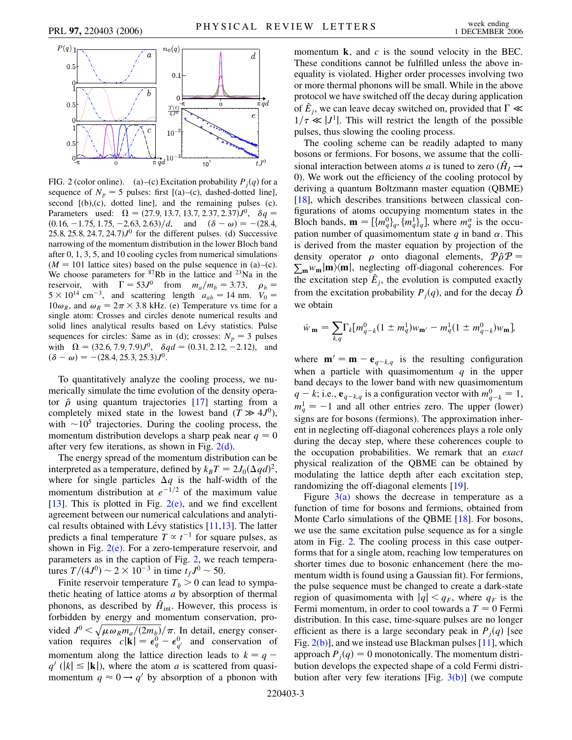<span id="page-2-1"></span>

<span id="page-2-0"></span>FIG. 2 (color online). (a)–(c) Excitation probability  $P_i(q)$  for a sequence of  $N_p = 5$  pulses: first [(a)–(c), dashed-dotted line], second [(b),(c), dotted line], and the remaining pulses (c). Parameters used:  $\Omega = (27.9, 13.7, 13.7, 2.37, 2.37)J^0$ ,  $\delta q =$  $(0.16, -1.75, 1.75, -2.63, 2.63)/d$ , and  $(\delta - \omega) = -(28.4,$ 25.8, 25.8, 24.7, 24.7 $J<sup>0</sup>$  for the different pulses. (d) Successive narrowing of the momentum distribution in the lower Bloch band after 0, 1, 3, 5, and 10 cooling cycles from numerical simulations  $(M = 101$  lattice sites) based on the pulse sequence in (a)–(c). We choose parameters for <sup>87</sup>Rb in the lattice and <sup>23</sup>Na in the reservoir, with  $\Gamma = 53J^0$  from  $m_a/m_b = 3.73$ ,  $\rho_b = 5 \times 10^{14}$  cm<sup>-3</sup>, and scattering length  $a_{ab} = 14$  nm.  $V_0 =$  $10\omega_R$ , and  $\omega_R = 2\pi \times 3.8$  kHz. (e) Temperature vs time for a single atom: Crosses and circles denote numerical results and solid lines analytical results based on Lévy statistics. Pulse sequences for circles: Same as in (d); crosses:  $N_p = 3$  pulses with  $\Omega = (32.6, 7.9, 7.9)J^0$ ,  $\delta q d = (0.31, 2.12, -2.12)$ , and  $(\delta - \omega) = -(28.4, 25.3, 25.3)J^0.$ 

To quantitatively analyze the cooling process, we numerically simulate the time evolution of the density operator  $\hat{\rho}$  using quantum trajectories [[17](#page-3-12)] starting from a completely mixed state in the lowest band  $(T \gg 4J^0)$ , with  $\sim 10^5$  trajectories. During the cooling process, the momentum distribution develops a sharp peak near  $q = 0$ after very few iterations, as shown in Fig. [2\(d\).](#page-2-0)

The energy spread of the momentum distribution can be interpreted as a temperature, defined by  $k_B T = 2J_0(\Delta q d)^2$ , where for single particles  $\Delta q$  is the half-width of the momentum distribution at  $e^{-1/2}$  of the maximum value [\[13\]](#page-3-8). This is plotted in Fig.  $2(e)$ , and we find excellent agreement between our numerical calculations and analytical results obtained with Lévy statistics  $[11,13]$  $[11,13]$  $[11,13]$  $[11,13]$  $[11,13]$ . The latter predicts a final temperature  $T \propto t^{-1}$  for square pulses, as shown in Fig.  $2(e)$ . For a zero-temperature reservoir, and parameters as in the caption of Fig. [2](#page-2-1), we reach temperatures  $T/(4J^0) \sim 2 \times 10^{-3}$  in time  $t_fJ^0 \sim 50$ .

Finite reservoir temperature  $T_b > 0$  can lead to sympathetic heating of lattice atoms *a* by absorption of thermal phonons, as described by  $\hat{H}_{int}$ . However, this process is forbidden by energy and momentum conservation, provided  $J^0 < \sqrt{\mu \omega_R m_a/(2m_b)}/\pi$ . In detail, energy conservation requires  $c|\mathbf{k}| = \epsilon_q^0 - \epsilon_{q'}^0$  and conservation of momentum along the lattice direction leads to  $k = q$  $q'(|k| \leq |{\bf k}|)$ , where the atom *a* is scattered from quasimomentum  $q \approx 0 \rightarrow q'$  by absorption of a phonon with momentum **k**, and *c* is the sound velocity in the BEC. These conditions cannot be fulfilled unless the above inequality is violated. Higher order processes involving two or more thermal phonons will be small. While in the above protocol we have switched off the decay during application of  $\hat{E}_j$ , we can leave decay switched on, provided that  $\Gamma \ll$  $1/\tau \ll |J^1|$ . This will restrict the length of the possible pulses, thus slowing the cooling process.

The cooling scheme can be readily adapted to many bosons or fermions. For bosons, we assume that the collisional interaction between atoms *a* is tuned to zero  $(\hat{H}_I \rightarrow$ 0). We work out the efficiency of the cooling protocol by deriving a quantum Boltzmann master equation (QBME) [\[18\]](#page-3-13), which describes transitions between classical configurations of atoms occupying momentum states in the Bloch bands,  $\mathbf{m} = \left[\{m_q^0\}_q, \{m_q^1\}_q\right]$ , where  $m_q^{\alpha}$  is the occupation number of quasimomentum state  $q$  in band  $\alpha$ . This is derived from the master equation by projection of the density operator  $\rho$  onto diagonal elements,  $\mathcal{P}\hat{\rho}\mathcal{P}$  =  $\sum_{m} w_m |m\rangle\langle m|$ , neglecting off-diagonal coherences. For the excitation step  $\hat{E}_j$ , the evolution is computed exactly from the excitation probability  $P_i(q)$ , and for the decay  $\hat{D}$ we obtain

$$
\dot{w}_{\mathbf{m}} = \sum_{k,q} \Gamma_k [m_{q-k}^0 (1 \pm m_q^1) w_{\mathbf{m}'} - m_q^1 (1 \pm m_{q-k}^0) w_{\mathbf{m}}],
$$

where  $\mathbf{m}' = \mathbf{m} - \mathbf{e}_{q-k,q}$  is the resulting configuration when a particle with quasimomentum *q* in the upper band decays to the lower band with new quasimomentum  $q - k$ ; i.e.,  $e_{q-k,q}$  is a configuration vector with  $m_{q-k}^0 = 1$ ,  $m_q^1 = -1$  and all other entries zero. The upper (lower) signs are for bosons (fermions). The approximation inherent in neglecting off-diagonal coherences plays a role only during the decay step, where these coherences couple to the occupation probabilities. We remark that an *exact* physical realization of the QBME can be obtained by modulating the lattice depth after each excitation step, randomizing the off-diagonal elements [\[19\]](#page-3-14).

Figure  $3(a)$  shows the decrease in temperature as a function of time for bosons and fermions, obtained from Monte Carlo simulations of the QBME [\[18\]](#page-3-13). For bosons, we use the same excitation pulse sequence as for a single atom in Fig. [2.](#page-2-1) The cooling process in this case outperforms that for a single atom, reaching low temperatures on shorter times due to bosonic enhancement (here the momentum width is found using a Gaussian fit). For fermions, the pulse sequence must be changed to create a dark-state region of quasimomenta with  $|q| < q_F$ , where  $q_F$  is the Fermi momentum, in order to cool towards a  $T = 0$  Fermi distribution. In this case, time-square pulses are no longer efficient as there is a large secondary peak in  $P_i(q)$  [see Fig. [2\(b\)](#page-2-0)], and we instead use Blackman pulses [[11](#page-3-6)], which approach  $P_j(q) = 0$  monotonically. The momentum distribution develops the expected shape of a cold Fermi distribution after very few iterations [Fig.  $3(b)$ ] (we compute